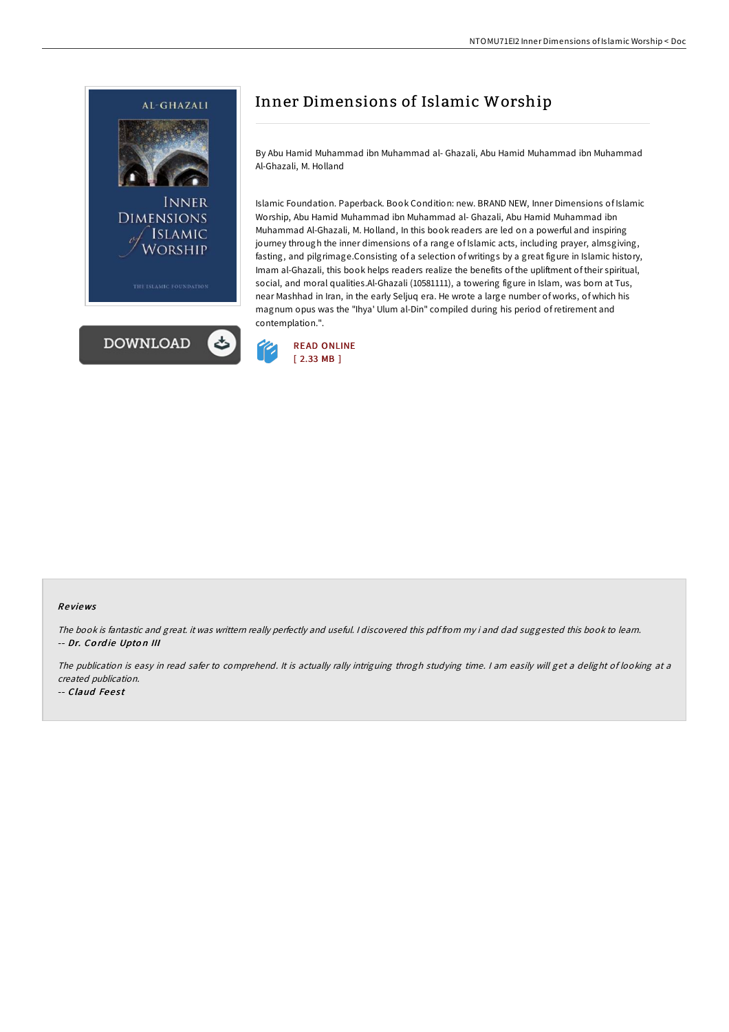



By Abu Hamid Muhammad ibn Muhammad al- Ghazali, Abu Hamid Muhammad ibn Muhammad Al-Ghazali, M. Holland

Islamic Foundation. Paperback. Book Condition: new. BRAND NEW, Inner Dimensions of Islamic Worship, Abu Hamid Muhammad ibn Muhammad al- Ghazali, Abu Hamid Muhammad ibn Muhammad Al-Ghazali, M. Holland, In this book readers are led on a powerful and inspiring journey through the inner dimensions of a range of Islamic acts, including prayer, almsgiving, fasting, and pilgrimage.Consisting of a selection of writings by a great figure in Islamic history, Imam al-Ghazali, this book helps readers realize the benefits of the upliftment of their spiritual, social, and moral qualities.Al-Ghazali (10581111), a towering figure in Islam, was born at Tus, near Mashhad in Iran, in the early Seljuq era. He wrote a large number of works, of which his magnum opus was the "Ihya' Ulum al-Din" compiled during his period ofretirement and contemplation.".



### Re views

The book is fantastic and great. it was writtern really perfectly and useful. <sup>I</sup> discovered this pdf from my i and dad suggested this book to learn. -- Dr. Cordie Upton III

The publication is easy in read safer to comprehend. It is actually rally intriguing throgh studying time. <sup>I</sup> am easily will get <sup>a</sup> delight of looking at <sup>a</sup> created publication.

-- Claud Feest